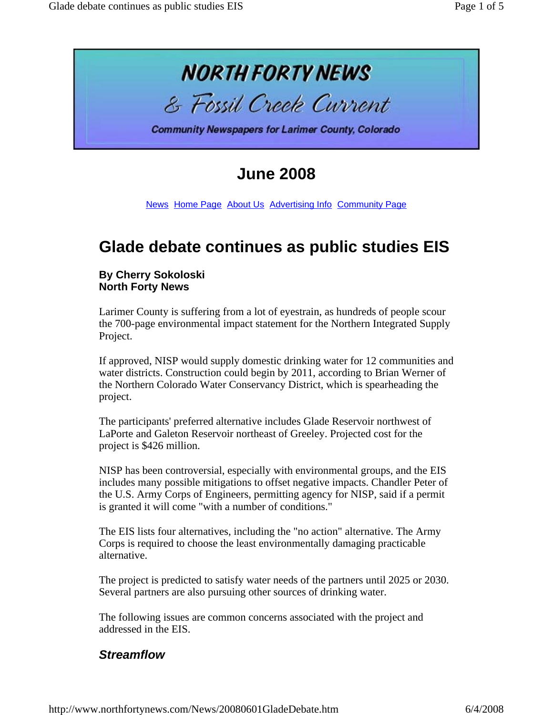

# **June 2008**

News Home Page About Us Advertising Info Community Page

## **Glade debate continues as public studies EIS**

#### **By Cherry Sokoloski North Forty News**

Larimer County is suffering from a lot of eyestrain, as hundreds of people scour the 700-page environmental impact statement for the Northern Integrated Supply Project.

If approved, NISP would supply domestic drinking water for 12 communities and water districts. Construction could begin by 2011, according to Brian Werner of the Northern Colorado Water Conservancy District, which is spearheading the project.

The participants' preferred alternative includes Glade Reservoir northwest of LaPorte and Galeton Reservoir northeast of Greeley. Projected cost for the project is \$426 million.

NISP has been controversial, especially with environmental groups, and the EIS includes many possible mitigations to offset negative impacts. Chandler Peter of the U.S. Army Corps of Engineers, permitting agency for NISP, said if a permit is granted it will come "with a number of conditions."

The EIS lists four alternatives, including the "no action" alternative. The Army Corps is required to choose the least environmentally damaging practicable alternative.

The project is predicted to satisfy water needs of the partners until 2025 or 2030. Several partners are also pursuing other sources of drinking water.

The following issues are common concerns associated with the project and addressed in the EIS.

## *Streamflow*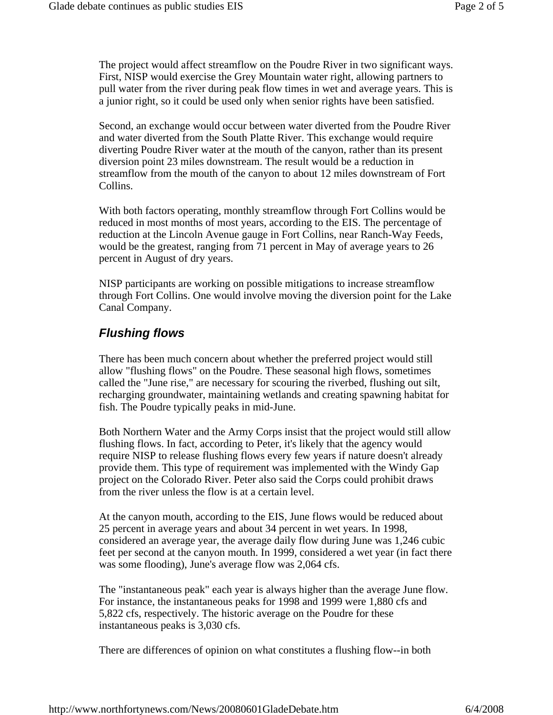The project would affect streamflow on the Poudre River in two significant ways. First, NISP would exercise the Grey Mountain water right, allowing partners to pull water from the river during peak flow times in wet and average years. This is a junior right, so it could be used only when senior rights have been satisfied.

Second, an exchange would occur between water diverted from the Poudre River and water diverted from the South Platte River. This exchange would require diverting Poudre River water at the mouth of the canyon, rather than its present diversion point 23 miles downstream. The result would be a reduction in streamflow from the mouth of the canyon to about 12 miles downstream of Fort Collins.

With both factors operating, monthly streamflow through Fort Collins would be reduced in most months of most years, according to the EIS. The percentage of reduction at the Lincoln Avenue gauge in Fort Collins, near Ranch-Way Feeds, would be the greatest, ranging from 71 percent in May of average years to 26 percent in August of dry years.

NISP participants are working on possible mitigations to increase streamflow through Fort Collins. One would involve moving the diversion point for the Lake Canal Company.

#### *Flushing flows*

There has been much concern about whether the preferred project would still allow "flushing flows" on the Poudre. These seasonal high flows, sometimes called the "June rise," are necessary for scouring the riverbed, flushing out silt, recharging groundwater, maintaining wetlands and creating spawning habitat for fish. The Poudre typically peaks in mid-June.

Both Northern Water and the Army Corps insist that the project would still allow flushing flows. In fact, according to Peter, it's likely that the agency would require NISP to release flushing flows every few years if nature doesn't already provide them. This type of requirement was implemented with the Windy Gap project on the Colorado River. Peter also said the Corps could prohibit draws from the river unless the flow is at a certain level.

At the canyon mouth, according to the EIS, June flows would be reduced about 25 percent in average years and about 34 percent in wet years. In 1998, considered an average year, the average daily flow during June was 1,246 cubic feet per second at the canyon mouth. In 1999, considered a wet year (in fact there was some flooding), June's average flow was 2,064 cfs.

The "instantaneous peak" each year is always higher than the average June flow. For instance, the instantaneous peaks for 1998 and 1999 were 1,880 cfs and 5,822 cfs, respectively. The historic average on the Poudre for these instantaneous peaks is 3,030 cfs.

There are differences of opinion on what constitutes a flushing flow--in both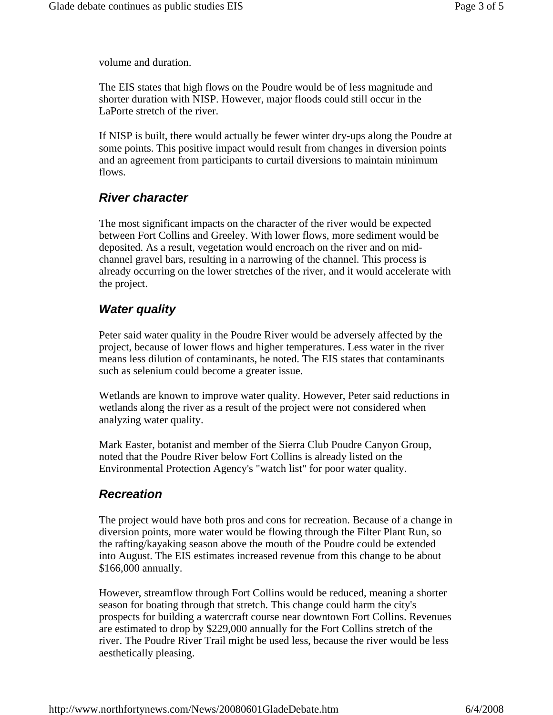volume and duration.

The EIS states that high flows on the Poudre would be of less magnitude and shorter duration with NISP. However, major floods could still occur in the LaPorte stretch of the river.

If NISP is built, there would actually be fewer winter dry-ups along the Poudre at some points. This positive impact would result from changes in diversion points and an agreement from participants to curtail diversions to maintain minimum flows.

## *River character*

The most significant impacts on the character of the river would be expected between Fort Collins and Greeley. With lower flows, more sediment would be deposited. As a result, vegetation would encroach on the river and on midchannel gravel bars, resulting in a narrowing of the channel. This process is already occurring on the lower stretches of the river, and it would accelerate with the project.

## *Water quality*

Peter said water quality in the Poudre River would be adversely affected by the project, because of lower flows and higher temperatures. Less water in the river means less dilution of contaminants, he noted. The EIS states that contaminants such as selenium could become a greater issue.

Wetlands are known to improve water quality. However, Peter said reductions in wetlands along the river as a result of the project were not considered when analyzing water quality.

Mark Easter, botanist and member of the Sierra Club Poudre Canyon Group, noted that the Poudre River below Fort Collins is already listed on the Environmental Protection Agency's "watch list" for poor water quality.

## *Recreation*

The project would have both pros and cons for recreation. Because of a change in diversion points, more water would be flowing through the Filter Plant Run, so the rafting/kayaking season above the mouth of the Poudre could be extended into August. The EIS estimates increased revenue from this change to be about \$166,000 annually.

However, streamflow through Fort Collins would be reduced, meaning a shorter season for boating through that stretch. This change could harm the city's prospects for building a watercraft course near downtown Fort Collins. Revenues are estimated to drop by \$229,000 annually for the Fort Collins stretch of the river. The Poudre River Trail might be used less, because the river would be less aesthetically pleasing.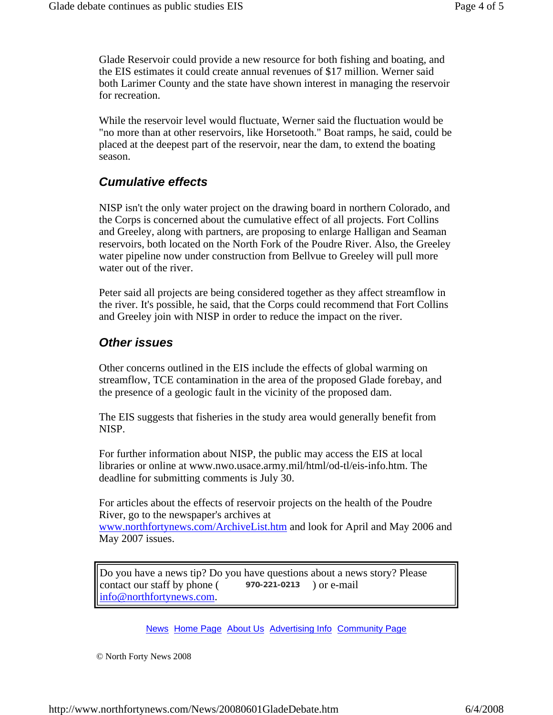Glade Reservoir could provide a new resource for both fishing and boating, and the EIS estimates it could create annual revenues of \$17 million. Werner said both Larimer County and the state have shown interest in managing the reservoir for recreation.

While the reservoir level would fluctuate, Werner said the fluctuation would be "no more than at other reservoirs, like Horsetooth." Boat ramps, he said, could be placed at the deepest part of the reservoir, near the dam, to extend the boating season.

#### *Cumulative effects*

NISP isn't the only water project on the drawing board in northern Colorado, and the Corps is concerned about the cumulative effect of all projects. Fort Collins and Greeley, along with partners, are proposing to enlarge Halligan and Seaman reservoirs, both located on the North Fork of the Poudre River. Also, the Greeley water pipeline now under construction from Bellvue to Greeley will pull more water out of the river.

Peter said all projects are being considered together as they affect streamflow in the river. It's possible, he said, that the Corps could recommend that Fort Collins and Greeley join with NISP in order to reduce the impact on the river.

#### *Other issues*

Other concerns outlined in the EIS include the effects of global warming on streamflow, TCE contamination in the area of the proposed Glade forebay, and the presence of a geologic fault in the vicinity of the proposed dam.

The EIS suggests that fisheries in the study area would generally benefit from NISP.

For further information about NISP, the public may access the EIS at local libraries or online at www.nwo.usace.army.mil/html/od-tl/eis-info.htm. The deadline for submitting comments is July 30.

For articles about the effects of reservoir projects on the health of the Poudre River, go to the newspaper's archives at www.northfortynews.com/ArchiveList.htm and look for April and May 2006 and

May 2007 issues.

Do you have a news tip? Do you have questions about a news story? Please contact our staff by phone  $($  970-221-0213  $)$  or e-mail info@northfortynews.com. **970-221-0213**

News Home Page About Us Advertising Info Community Page

© North Forty News 2008